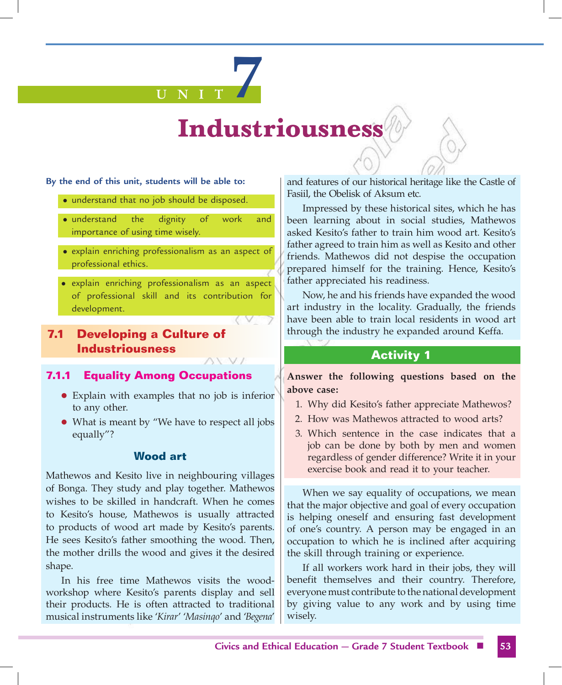# **U N I T 7**

# **Industriousness**

#### **By the end of this unit, students will be able to:**

- understand that no job should be disposed.
- understand the dignity of work and importance of using time wisely.
- explain enriching professionalism as an aspect of professional ethics.
- explain enriching professionalism as an aspect of professional skill and its contribution for development.

# **7.1 Developing a Culture of Industriousness**

#### **7.1.1 Equality Among Occupations**

- Explain with examples that no job is inferior to any other.
- What is meant by "We have to respect all jobs equally"?

#### **Wood art**

Mathewos and Kesito live in neighbouring villages of Bonga. They study and play together. Mathewos wishes to be skilled in handcraft. When he comes to Kesito's house, Mathewos is usually attracted to products of wood art made by Kesito's parents. He sees Kesito's father smoothing the wood. Then, the mother drills the wood and gives it the desired shape.

In his free time Mathewos visits the woodworkshop where Kesito's parents display and sell their products. He is often attracted to traditional musical instruments like '*Kirar*' '*Masinqo*' and '*Begena*' and features of our historical heritage like the Castle of Fasiil, the Obelisk of Aksum etc.

Impressed by these historical sites, which he has been learning about in social studies, Mathewos asked Kesito's father to train him wood art. Kesito's father agreed to train him as well as Kesito and other friends. Mathewos did not despise the occupation prepared himself for the training. Hence, Kesito's father appreciated his readiness.

Now, he and his friends have expanded the wood art industry in the locality. Gradually, the friends have been able to train local residents in wood art through the industry he expanded around Keffa.

# **Activity 1**

**Answer the following questions based on the above case:**

- 1. Why did Kesito's father appreciate Mathewos?
- 2. How was Mathewos attracted to wood arts?
- 3. Which sentence in the case indicates that a job can be done by both by men and women regardless of gender difference? Write it in your exercise book and read it to your teacher.

When we say equality of occupations, we mean that the major objective and goal of every occupation is helping oneself and ensuring fast development of one's country. A person may be engaged in an occupation to which he is inclined after acquiring the skill through training or experience.

If all workers work hard in their jobs, they will benefit themselves and their country. Therefore, everyone must contribute to the national development by giving value to any work and by using time wisely.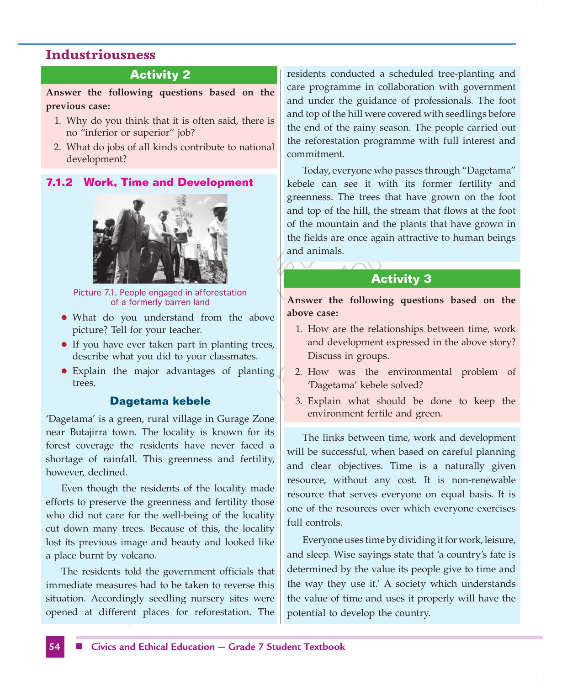# **Activity 2**

**Answer the following questions based on the previous case:**

- 1. Why do you think that it is often said, there is no "inferior or superior" job?
- 2. What do jobs of all kinds contribute to national development?

#### **7.1.2 Work, Time and Development**



Picture 7.1. People engaged in afforestation of a formerly barren land

- What do you understand from the above picture? Tell for your teacher.
- If you have ever taken part in planting trees, describe what you did to your classmates.
- Explain the major advantages of planting trees.

#### **Dagetama kebele**

'Dagetama' is a green, rural village in Gurage Zone near Butajirra town. The locality is known for its forest coverage the residents have never faced a shortage of rainfall. This greenness and fertility, however, declined.

Even though the residents of the locality made efforts to preserve the greenness and fertility those who did not care for the well-being of the locality cut down many trees. Because of this, the locality lost its previous image and beauty and looked like a place burnt by volcano.

The residents told the government officials that immediate measures had to be taken to reverse this situation. Accordingly seedling nursery sites were opened at different places for reforestation. The residents conducted a scheduled tree-planting and care programme in collaboration with government and under the guidance of professionals. The foot and top of the hill were covered with seedlings before the end of the rainy season. The people carried out the reforestation programme with full interest and commitment.

Today, everyone who passes through "Dagetama" kebele can see it with its former fertility and greenness. The trees that have grown on the foot and top of the hill, the stream that flows at the foot of the mountain and the plants that have grown in the fields are once again attractive to human beings and animals.

# **Activity 3**

**Answer the following questions based on the above case:**

- 1. How are the relationships between time, work and development expressed in the above story? Discuss in groups.
- 2. How was the environmental problem of 'Dagetama' kebele solved?
- 3. Explain what should be done to keep the environment fertile and green.

The links between time, work and development will be successful, when based on careful planning and clear objectives. Time is a naturally given resource, without any cost. It is non-renewable resource that serves everyone on equal basis. It is one of the resources over which everyone exercises full controls.

Everyone uses time by dividing it for work, leisure, and sleep. Wise sayings state that 'a country's fate is determined by the value its people give to time and the way they use it.' A society which understands the value of time and uses it properly will have the potential to develop the country.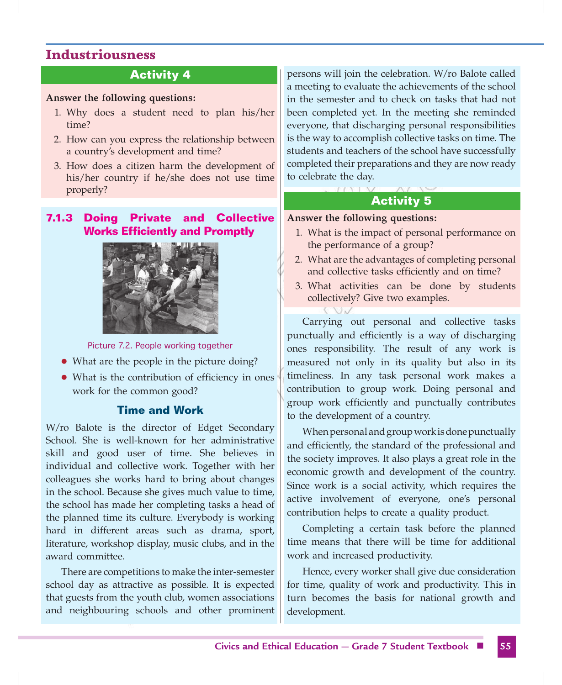# **Activity 4**

#### **Answer the following questions:**

- 1. Why does a student need to plan his/her time?
- 2. How can you express the relationship between a country's development and time?
- 3. How does a citizen harm the development of his/her country if he/she does not use time properly?

# **7.1.3 Doing Private and Collective Works Efficiently and Promptly**



Picture 7.2. People working together

- What are the people in the picture doing?
- What is the contribution of efficiency in ones work for the common good?

# **Time and Work**

W/ro Balote is the director of Edget Secondary School. She is well-known for her administrative skill and good user of time. She believes in individual and collective work. Together with her colleagues she works hard to bring about changes in the school. Because she gives much value to time, the school has made her completing tasks a head of the planned time its culture. Everybody is working hard in different areas such as drama, sport, literature, workshop display, music clubs, and in the award committee.

There are competitions to make the inter-semester school day as attractive as possible. It is expected that guests from the youth club, women associations and neighbouring schools and other prominent persons will join the celebration. W/ro Balote called a meeting to evaluate the achievements of the school in the semester and to check on tasks that had not been completed yet. In the meeting she reminded everyone, that discharging personal responsibilities is the way to accomplish collective tasks on time. The students and teachers of the school have successfully completed their preparations and they are now ready to celebrate the day.

# **Activity 5**

#### **Answer the following questions:**

- 1. What is the impact of personal performance on the performance of a group?
- 2. What are the advantages of completing personal and collective tasks efficiently and on time?
- 3. What activities can be done by students collectively? Give two examples.

Carrying out personal and collective tasks punctually and efficiently is a way of discharging ones responsibility. The result of any work is measured not only in its quality but also in its timeliness. In any task personal work makes a contribution to group work. Doing personal and group work efficiently and punctually contributes to the development of a country.

When personal and group work is done punctually and efficiently, the standard of the professional and the society improves. It also plays a great role in the economic growth and development of the country. Since work is a social activity, which requires the active involvement of everyone, one's personal contribution helps to create a quality product.

Completing a certain task before the planned time means that there will be time for additional work and increased productivity.

Hence, every worker shall give due consideration for time, quality of work and productivity. This in turn becomes the basis for national growth and development.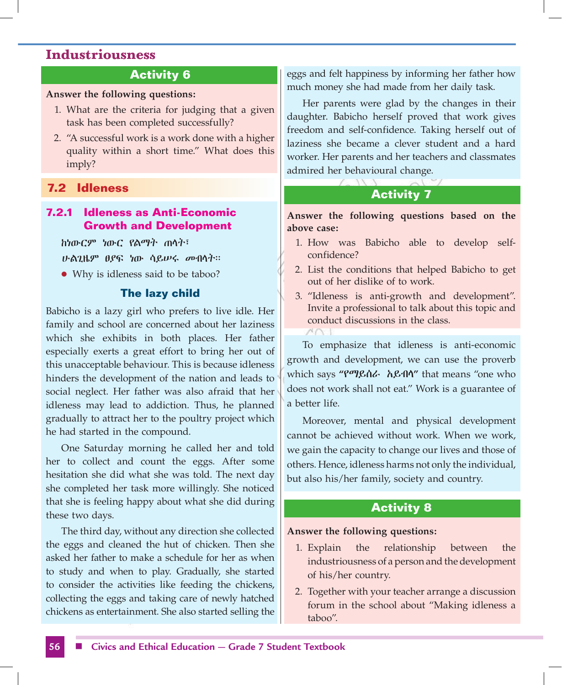# **Activity 6**

#### **Answer the following questions:**

- 1. What are the criteria for judging that a given task has been completed successfully?
- 2. "A successful work is a work done with a higher quality within a short time." What does this imply?

#### **7.2 Idleness**

# **7.2.1 Idleness as Anti-Economic Growth and Development**

ከነውርም ነውር የልማት ጠላት፣

ሁልጊዜም ፀያፍ ነው ሳይሠሩ መብላት፡፡

• Why is idleness said to be taboo?

#### **The lazy child**

Babicho is a lazy girl who prefers to live idle. Her family and school are concerned about her laziness which she exhibits in both places. Her father especially exerts a great effort to bring her out of this unacceptable behaviour. This is because idleness hinders the development of the nation and leads to social neglect. Her father was also afraid that her idleness may lead to addiction. Thus, he planned gradually to attract her to the poultry project which he had started in the compound.

One Saturday morning he called her and told her to collect and count the eggs. After some hesitation she did what she was told. The next day she completed her task more willingly. She noticed that she is feeling happy about what she did during these two days.

The third day, without any direction she collected the eggs and cleaned the hut of chicken. Then she asked her father to make a schedule for her as when to study and when to play. Gradually, she started to consider the activities like feeding the chickens, collecting the eggs and taking care of newly hatched chickens as entertainment. She also started selling the eggs and felt happiness by informing her father how much money she had made from her daily task.

Her parents were glad by the changes in their daughter. Babicho herself proved that work gives freedom and self-confidence. Taking herself out of laziness she became a clever student and a hard worker. Her parents and her teachers and classmates admired her behavioural change.

# **Activity 7**

**Answer the following questions based on the above case:**

- 1. How was Babicho able to develop selfconfidence?
- 2. List the conditions that helped Babicho to get out of her dislike of to work.
- 3. "Idleness is anti-growth and development". Invite a professional to talk about this topic and conduct discussions in the class.

To emphasize that idleness is anti-economic growth and development, we can use the proverb which says **"**የማይሰራ አይብላ**"** that means "one who does not work shall not eat." Work is a guarantee of a better life.

Moreover, mental and physical development cannot be achieved without work. When we work, we gain the capacity to change our lives and those of others. Hence, idleness harms not only the individual, but also his/her family, society and country.

# **Activity 8**

#### **Answer the following questions:**

- 1. Explain the relationship between the industriousness of a person and the development of his/her country.
- 2. Together with your teacher arrange a discussion forum in the school about "Making idleness a taboo".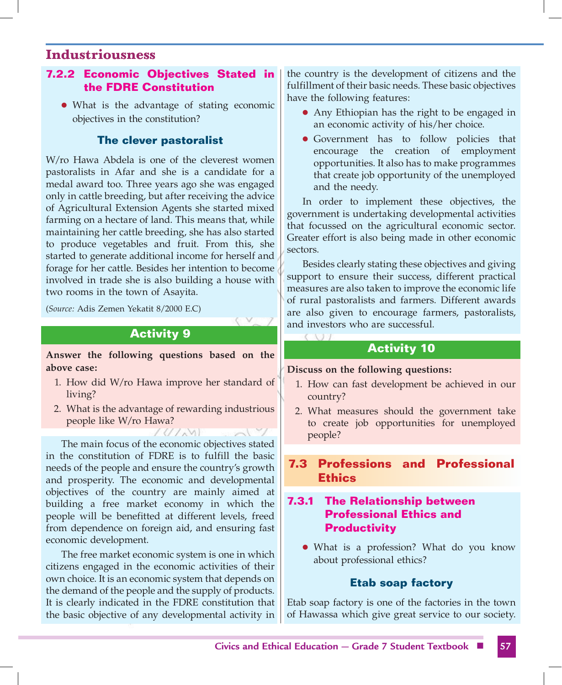# **7.2.2 Economic Objectives Stated in the FDRE Constitution**

• What is the advantage of stating economic objectives in the constitution?

#### **The clever pastoralist**

W/ro Hawa Abdela is one of the cleverest women pastoralists in Afar and she is a candidate for a medal award too. Three years ago she was engaged only in cattle breeding, but after receiving the advice of Agricultural Extension Agents she started mixed farming on a hectare of land. This means that, while maintaining her cattle breeding, she has also started to produce vegetables and fruit. From this, she started to generate additional income for herself and forage for her cattle. Besides her intention to become involved in trade she is also building a house with two rooms in the town of Asayita.

(*Source:* Adis Zemen Yekatit 8/2000 E.C)

# **Activity 9**

**Answer the following questions based on the above case:**

- 1. How did W/ro Hawa improve her standard of living?
- 2. What is the advantage of rewarding industrious people like W/ro Hawa?

 $(1/\sqrt{N})$ 

The main focus of the economic objectives stated in the constitution of FDRE is to fulfill the basic needs of the people and ensure the country's growth and prosperity. The economic and developmental objectives of the country are mainly aimed at building a free market economy in which the people will be benefitted at different levels, freed from dependence on foreign aid, and ensuring fast economic development.

The free market economic system is one in which citizens engaged in the economic activities of their own choice. It is an economic system that depends on the demand of the people and the supply of products. It is clearly indicated in the FDRE constitution that the basic objective of any developmental activity in the country is the development of citizens and the fulfillment of their basic needs. These basic objectives have the following features:

- Any Ethiopian has the right to be engaged in an economic activity of his/her choice.
- Government has to follow policies that encourage the creation of employment opportunities. It also has to make programmes that create job opportunity of the unemployed and the needy.

In order to implement these objectives, the government is undertaking developmental activities that focussed on the agricultural economic sector. Greater effort is also being made in other economic sectors.

Besides clearly stating these objectives and giving support to ensure their success, different practical measures are also taken to improve the economic life of rural pastoralists and farmers. Different awards are also given to encourage farmers, pastoralists, and investors who are successful.

#### **Activity 10**

#### **Discuss on the following questions:**

- 1. How can fast development be achieved in our country?
- 2. What measures should the government take to create job opportunities for unemployed people?

# **7.3 Professions and Professional Ethics**

# **7.3.1 The Relationship between Professional Ethics and Productivity**

• What is a profession? What do you know about professional ethics?

#### **Etab soap factory**

Etab soap factory is one of the factories in the town of Hawassa which give great service to our society.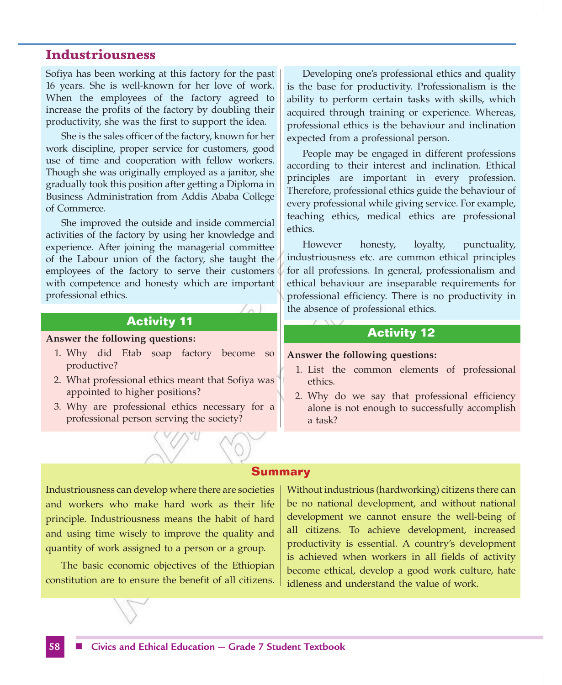Sofiya has been working at this factory for the past 16 years. She is well-known for her love of work. When the employees of the factory agreed to increase the profits of the factory by doubling their productivity, she was the first to support the idea.

She is the sales officer of the factory, known for her work discipline, proper service for customers, good use of time and cooperation with fellow workers. Though she was originally employed as a janitor, she gradually took this position after getting a Diploma in Business Administration from Addis Ababa College of Commerce.

She improved the outside and inside commercial activities of the factory by using her knowledge and experience. After joining the managerial committee of the Labour union of the factory, she taught the employees of the factory to serve their customers with competence and honesty which are important professional ethics.

#### **Activity 11**

#### **Answer the following questions:**

- 1. Why did Etab soap factory become so productive?
- 2. What professional ethics meant that Sofiya was appointed to higher positions?
- 3. Why are professional ethics necessary for a professional person serving the society?

Developing one's professional ethics and quality is the base for productivity. Professionalism is the ability to perform certain tasks with skills, which acquired through training or experience. Whereas, professional ethics is the behaviour and inclination expected from a professional person.

People may be engaged in different professions according to their interest and inclination. Ethical principles are important in every profession. Therefore, professional ethics guide the behaviour of every professional while giving service. For example, teaching ethics, medical ethics are professional ethics.

However honesty, loyalty, punctuality, industriousness etc. are common ethical principles for all professions. In general, professionalism and ethical behaviour are inseparable requirements for professional efficiency. There is no productivity in the absence of professional ethics.

#### **Activity 12**

#### **Answer the following questions:**

- 1. List the common elements of professional ethics.
- 2. Why do we say that professional efficiency alone is not enough to successfully accomplish a task?

#### **Summary**

Industriousness can develop where there are societies and workers who make hard work as their life principle. Industriousness means the habit of hard and using time wisely to improve the quality and quantity of work assigned to a person or a group.

The basic economic objectives of the Ethiopian constitution are to ensure the benefit of all citizens. Without industrious (hardworking) citizens there can be no national development, and without national development we cannot ensure the well-being of all citizens. To achieve development, increased productivity is essential. A country's development is achieved when workers in all fields of activity become ethical, develop a good work culture, hate idleness and understand the value of work.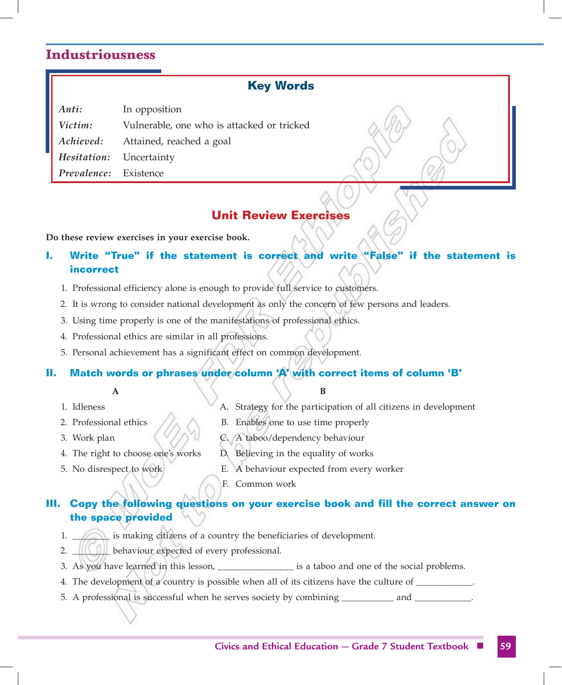#### **Key Words**

| Anti:                          | In opposition                              |
|--------------------------------|--------------------------------------------|
| Victim:                        | Vulnerable, one who is attacked or tricked |
| Achieved:                      | Attained, reached a goal                   |
| <i>Hesitation:</i> Uncertainty |                                            |
| <i>Prevalence:</i> Existence   |                                            |

# **Unit Review Exercises**

**Do these review exercises in your exercise book.**

# **I. Write "True" if the statement is correct and write "False" if the statement is incorrect**

- 1. Professional efficiency alone is enough to provide full service to customers.
- 2. It is wrong to consider national development as only the concern of few persons and leaders.
- 3. Using time properly is one of the manifestations of professional ethics.
- 4. Professional ethics are similar in all professions.
- 5. Personal achievement has a significant effect on common development.

#### **II. Match words or phrases under column 'A' with correct items of column 'B'**

#### **A B**

- 
- 1. Idleness A. Strategy for the participation of all citizens in development
- 2. Professional ethics  $\land\land\qquad$  B. Enables one to use time properly
- 
- 3. Work plan  $\bigotimes / \bigotimes$  A taboo/dependency behaviour
- 4. The right to choose one's works D. Believing in the equality of works
- 5. No disrespect to work E. A behaviour expected from every worker
	- F. Common work

# **III. Copy the following questions on your exercise book and fill the correct answer on the space provided**

- 1. **Example 1.** is making citizens of a country the beneficiaries of development.
- 2. **We also deliver the expected of every professional.**
- 3. As you have learned in this lesson, \_\_\_\_\_\_\_\_\_\_\_\_\_\_\_\_ is a taboo and one of the social problems.
- 4. The development of a country is possible when all of its citizens have the culture of \_\_\_\_\_\_\_\_\_\_\_\_.
- 5. A professional is successful when he serves society by combining \_\_\_\_\_\_\_\_\_\_ and \_\_\_\_\_\_\_\_\_\_\_.